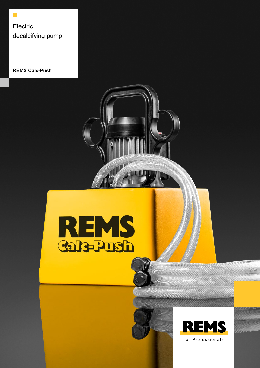Electric decalcifying pump

 $\Box$ 

**REMS Calc-Push**







for Professionals